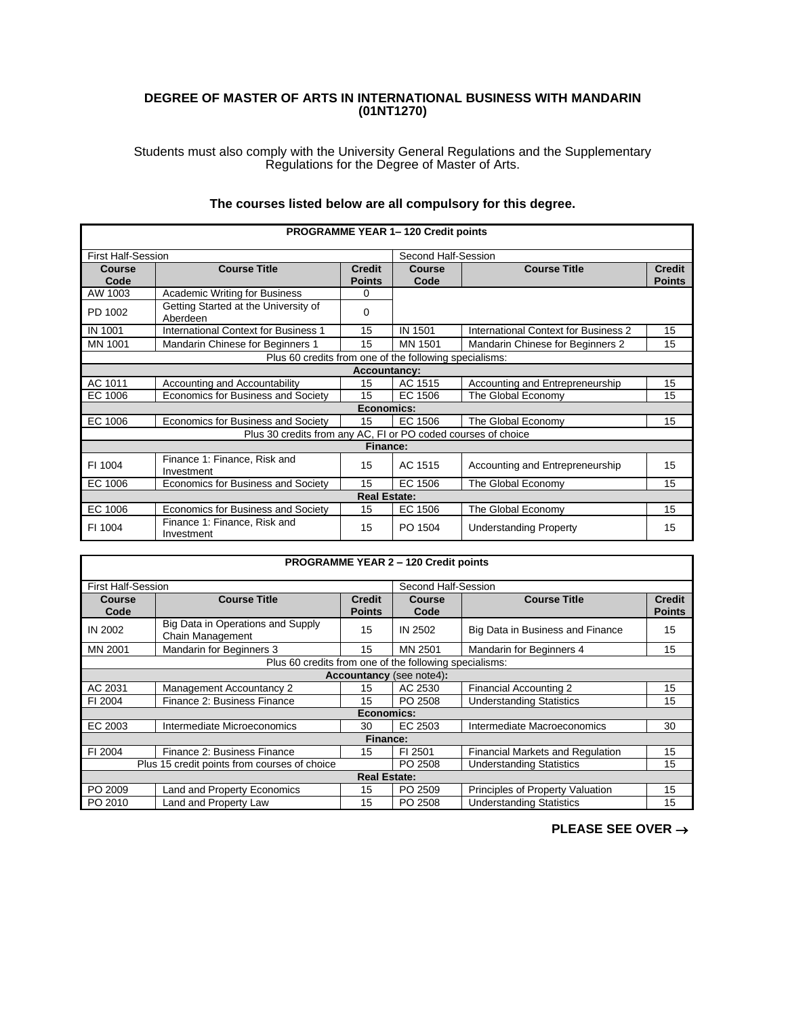## **DEGREE OF MASTER OF ARTS IN INTERNATIONAL BUSINESS WITH MANDARIN (01NT1270)**

Students must also comply with the University General Regulations and the Supplementary Regulations for the Degree of Master of Arts.

| The courses listed below are all compulsory for this degree. |
|--------------------------------------------------------------|
|--------------------------------------------------------------|

| <b>PROGRAMME YEAR 1-120 Credit points</b>                     |                                                  |                                |                       |                                      |                                |
|---------------------------------------------------------------|--------------------------------------------------|--------------------------------|-----------------------|--------------------------------------|--------------------------------|
| <b>First Half-Session</b>                                     |                                                  |                                | Second Half-Session   |                                      |                                |
| <b>Course</b><br>Code                                         | <b>Course Title</b>                              | <b>Credit</b><br><b>Points</b> | <b>Course</b><br>Code | <b>Course Title</b>                  | <b>Credit</b><br><b>Points</b> |
| AW 1003                                                       | <b>Academic Writing for Business</b>             | $\Omega$                       |                       |                                      |                                |
| PD 1002                                                       | Getting Started at the University of<br>Aberdeen | $\Omega$                       |                       |                                      |                                |
| <b>IN 1001</b>                                                | International Context for Business 1             | 15                             | IN 1501               | International Context for Business 2 | 15                             |
| MN 1001                                                       | Mandarin Chinese for Beginners 1                 | 15                             | MN 1501               | Mandarin Chinese for Beginners 2     | 15                             |
| Plus 60 credits from one of the following specialisms:        |                                                  |                                |                       |                                      |                                |
| Accountancy:                                                  |                                                  |                                |                       |                                      |                                |
| AC 1011                                                       | Accounting and Accountability                    | 15                             | AC 1515               | Accounting and Entrepreneurship      | 15                             |
| EC 1006                                                       | Economics for Business and Society               | 15                             | EC 1506               | The Global Economy                   | 15                             |
| Economics:                                                    |                                                  |                                |                       |                                      |                                |
| EC 1006                                                       | Economics for Business and Society               | 15                             | EC 1506               | The Global Economy                   | 15                             |
| Plus 30 credits from any AC, FI or PO coded courses of choice |                                                  |                                |                       |                                      |                                |
| Finance:                                                      |                                                  |                                |                       |                                      |                                |
| FI 1004                                                       | Finance 1: Finance, Risk and<br>Investment       | 15                             | AC 1515               | Accounting and Entrepreneurship      | 15                             |
| EC 1006                                                       | Economics for Business and Society               | 15                             | EC 1506               | The Global Economy                   | 15                             |
| <b>Real Estate:</b>                                           |                                                  |                                |                       |                                      |                                |
| EC 1006                                                       | Economics for Business and Society               | 15                             | EC 1506               | The Global Economy                   | 15                             |
| FI 1004                                                       | Finance 1: Finance, Risk and<br>Investment       | 15                             | PO 1504               | <b>Understanding Property</b>        | 15                             |

| <b>PROGRAMME YEAR 2 - 120 Credit points</b>      |                                                        |                                |                |                                  |                                |  |
|--------------------------------------------------|--------------------------------------------------------|--------------------------------|----------------|----------------------------------|--------------------------------|--|
| Second Half-Session<br><b>First Half-Session</b> |                                                        |                                |                |                                  |                                |  |
| <b>Course</b><br>Code                            | <b>Course Title</b>                                    | <b>Credit</b><br><b>Points</b> | Course<br>Code | <b>Course Title</b>              | <b>Credit</b><br><b>Points</b> |  |
| IN 2002                                          | Big Data in Operations and Supply<br>Chain Management  | 15                             | <b>IN 2502</b> | Big Data in Business and Finance | 15                             |  |
| MN 2001                                          | Mandarin for Beginners 3                               | 15                             | MN 2501        | Mandarin for Beginners 4         | 15                             |  |
|                                                  | Plus 60 credits from one of the following specialisms: |                                |                |                                  |                                |  |
| <b>Accountancy</b> (see note4):                  |                                                        |                                |                |                                  |                                |  |
| AC 2031                                          | Management Accountancy 2                               | 15                             | AC 2530        | Financial Accounting 2           | 15                             |  |
| FI 2004                                          | Finance 2: Business Finance                            | 15                             | PO 2508        | <b>Understanding Statistics</b>  | 15                             |  |
| Economics:                                       |                                                        |                                |                |                                  |                                |  |
| EC 2003                                          | Intermediate Microeconomics                            | 30                             | EC 2503        | Intermediate Macroeconomics      | 30                             |  |
| Finance:                                         |                                                        |                                |                |                                  |                                |  |
| FI 2004                                          | Finance 2: Business Finance                            | 15                             | FI 2501        | Financial Markets and Regulation | 15                             |  |
| Plus 15 credit points from courses of choice     |                                                        |                                | PO 2508        | <b>Understanding Statistics</b>  | 15                             |  |
| <b>Real Estate:</b>                              |                                                        |                                |                |                                  |                                |  |
| PO 2009                                          | <b>Land and Property Economics</b>                     | 15                             | PO 2509        | Principles of Property Valuation | 15                             |  |
| PO 2010                                          | Land and Property Law                                  | 15                             | PO 2508        | <b>Understanding Statistics</b>  | 15                             |  |

Г

**PLEASE SEE OVER** →